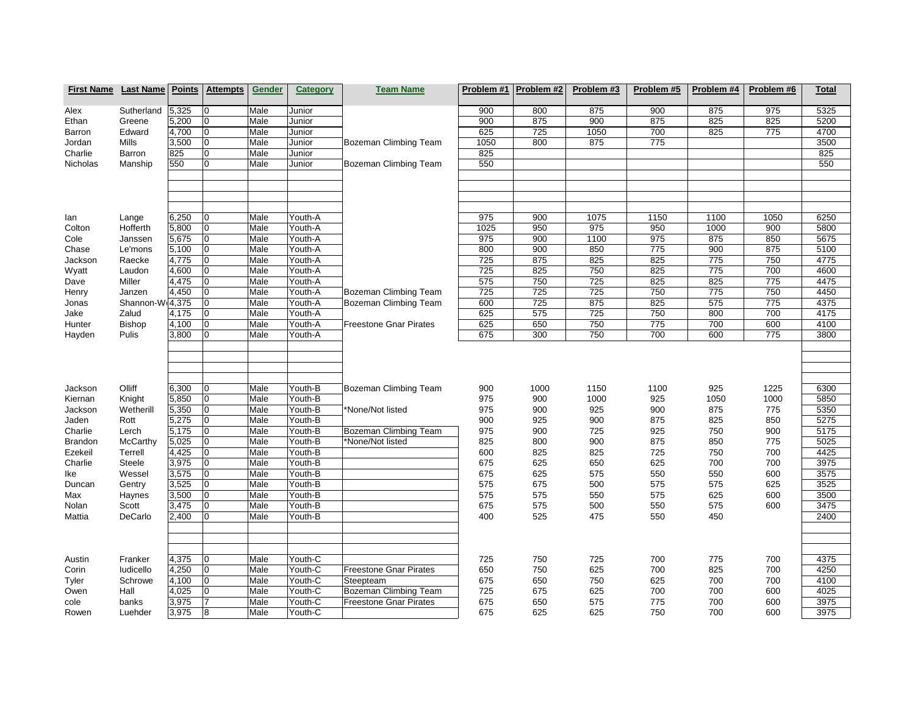| <b>First Name</b>                                 | <b>Last Name</b>                               | <b>Points</b>                             | <b>Attempts</b>                               | <b>Gender</b>                        | Category                                            | <b>Team Name</b>                                                          | Problem #1                      | Problem #2                       | Problem #3                        | Problem #5                       | Problem #4                       | Problem #6                        | <b>Total</b>                         |
|---------------------------------------------------|------------------------------------------------|-------------------------------------------|-----------------------------------------------|--------------------------------------|-----------------------------------------------------|---------------------------------------------------------------------------|---------------------------------|----------------------------------|-----------------------------------|----------------------------------|----------------------------------|-----------------------------------|--------------------------------------|
| Alex                                              | Sutherland                                     | 5,325                                     | 0                                             | Male                                 | Junior                                              |                                                                           | 900                             | 800                              | 875                               | 900                              | 875                              | 975                               | 5325                                 |
| Ethan                                             | Greene                                         | 5,200                                     | 10                                            | Male                                 | Junior                                              |                                                                           | 900                             | 875                              | 900                               | 875                              | 825                              | 825                               | 5200                                 |
| Barron                                            | Edward                                         | 4,700                                     | lo                                            | Male                                 | Junior                                              |                                                                           | 625                             | 725                              | 1050                              | 700                              | 825                              | 775                               | 4700                                 |
| Jordan                                            | Mills                                          | 3,500                                     | 10                                            | Male                                 | Junior                                              | <b>Bozeman Climbing Team</b>                                              | 1050                            | 800                              | 875                               | 775                              |                                  |                                   | 3500                                 |
| Charlie                                           | Barron                                         | 825                                       | $\overline{0}$                                | Male                                 | Junior                                              |                                                                           | 825                             |                                  |                                   |                                  |                                  |                                   | 825                                  |
| Nicholas                                          | Manship                                        | 550                                       | 0                                             | Male                                 | Junior                                              | Bozeman Climbing Team                                                     | 550                             |                                  |                                   |                                  |                                  |                                   | 550                                  |
| lan                                               | Lange                                          | 6,250                                     | 10                                            | Male                                 | Youth-A                                             |                                                                           | 975                             | 900                              | 1075                              | 1150                             | 1100                             | 1050                              | 6250                                 |
| Colton                                            | Hofferth                                       | 5,800                                     | lo                                            | Male                                 | Youth-A                                             |                                                                           | 1025                            | 950                              | 975                               | 950                              | 1000                             | 900                               | 5800                                 |
| Cole                                              | Janssen                                        | 5,675                                     | $ 0\rangle$                                   | Male                                 | Youth-A                                             |                                                                           | 975                             | 900                              | 1100                              | 975                              | 875                              | 850                               | 5675                                 |
| Chase                                             | Le'mons                                        | 5,100                                     | lo                                            | Male                                 | Youth-A                                             |                                                                           | 800                             | 900                              | 850                               | 775                              | 900                              | 875                               | 5100                                 |
| Jackson                                           | Raecke                                         | 4,775                                     | lo                                            | Male                                 | Youth-A                                             |                                                                           | 725                             | 875                              | 825                               | 825                              | 775                              | 750                               | 4775                                 |
| Wyatt                                             | Laudon                                         | 4,600                                     | lo                                            | Male                                 | Youth-A                                             |                                                                           | 725                             | 825                              | 750                               | 825                              | 775                              | 700                               | 4600                                 |
| Dave                                              | Miller                                         | 4,475                                     | $\overline{0}$                                | Male                                 | Youth-A                                             |                                                                           | 575                             | 750                              | 725                               | 825                              | 825                              | 775                               | 4475                                 |
| Henry                                             | Janzen                                         | 4,450                                     | lo                                            | Male                                 | Youth-A                                             | Bozeman Climbing Team                                                     | 725                             | 725                              | 725                               | 750                              | 775                              | 750                               | 4450                                 |
| Jonas                                             | Shannon-W(4,375                                |                                           | lo                                            | Male                                 | Youth-A                                             | Bozeman Climbing Team                                                     | 600                             | 725                              | 875                               | 825                              | 575                              | 775                               | 4375                                 |
| Jake                                              | Zalud                                          | 4,175                                     | lo                                            | Male                                 | Youth-A                                             |                                                                           | 625                             | 575                              | 725                               | 750                              | 800                              | 700                               | 4175                                 |
| Hunter                                            | <b>Bishop</b>                                  | 4,100                                     | $\overline{0}$                                | Male                                 | Youth-A                                             | <b>Freestone Gnar Pirates</b>                                             | 625                             | 650                              | 750                               | 775                              | 700                              | 600                               | 4100                                 |
| Hayden                                            | Pulis                                          | 3,800                                     | lo                                            | Male                                 | Youth-A                                             |                                                                           | 675                             | 300                              | 750                               | 700                              | 600                              | 775                               | 3800                                 |
| Jackson<br>Kiernan<br>Jackson<br>Jaden<br>Charlie | Olliff<br>Knight<br>Wetherill<br>Rott<br>Lerch | 6,300<br>5,850<br>5,350<br>5,275<br>5,175 | 0<br>$ 0\rangle$<br>$\overline{0}$<br>lo<br>0 | Male<br>Male<br>Male<br>Male<br>Male | Youth-B<br>Youth-B<br>Youth-B<br>Youth-B<br>Youth-B | Bozeman Climbing Team<br>*None/Not listed<br><b>Bozeman Climbing Team</b> | 900<br>975<br>975<br>900<br>975 | 1000<br>900<br>900<br>925<br>900 | 1150<br>1000<br>925<br>900<br>725 | 1100<br>925<br>900<br>875<br>925 | 925<br>1050<br>875<br>825<br>750 | 1225<br>1000<br>775<br>850<br>900 | 6300<br>5850<br>5350<br>5275<br>5175 |
| <b>Brandon</b>                                    | McCarthy                                       | 5,025                                     | lo                                            | Male                                 | Youth-B                                             | *None/Not listed                                                          | 825                             | 800                              | 900                               | 875                              | 850                              | 775                               | 5025                                 |
| Ezekeil                                           | Terrell                                        | 4,425                                     | lo                                            | Male                                 | Youth-B                                             |                                                                           | 600                             | 825                              | 825                               | 725                              | 750                              | 700                               | 4425                                 |
| Charlie                                           | Steele                                         | 3,975                                     | lo                                            | Male                                 | Youth-B                                             |                                                                           | 675                             | 625                              | 650                               | 625                              | 700                              | 700                               | 3975                                 |
| Ike                                               | Wessel                                         | 3,575                                     | lo                                            | Male                                 | Youth-B                                             |                                                                           | 675                             | 625                              | 575                               | 550                              | 550                              | 600                               | 3575                                 |
| Duncan                                            | Gentry                                         | 3,525                                     | lo                                            | Male                                 | Youth-B                                             |                                                                           | 575                             | 675                              | 500                               | 575                              | 575                              | 625                               | 3525                                 |
| Max                                               | Haynes                                         | 3,500                                     | $\overline{0}$                                | Male                                 | Youth-B                                             |                                                                           | 575                             | 575                              | 550                               | 575                              | 625                              | 600                               | 3500                                 |
| Nolan                                             | Scott                                          | 3,475                                     | lo                                            | Male                                 | Youth-B                                             |                                                                           | 675                             | 575                              | 500                               | 550                              | 575                              | 600                               | 3475                                 |
| Mattia                                            | DeCarlo                                        | 2.400                                     | $\overline{0}$                                | Male                                 | Youth-B                                             |                                                                           | 400                             | 525                              | 475                               | 550                              | 450                              |                                   | 2400                                 |
|                                                   |                                                |                                           |                                               |                                      |                                                     |                                                                           |                                 |                                  |                                   |                                  |                                  |                                   |                                      |
| Austin                                            | Franker                                        | 4,375                                     | 0                                             | Male                                 | Youth-C                                             |                                                                           | 725                             | 750                              | 725                               | 700                              | 775                              | 700                               | 4375                                 |
| Corin                                             | ludicello                                      | 4,250                                     | $ 0\rangle$                                   | Male                                 | Youth-C                                             | <b>Freestone Gnar Pirates</b>                                             | 650                             | 750                              | 625                               | 700                              | 825                              | 700                               | 4250                                 |
| Tyler                                             | Schrowe                                        | 4,100                                     | lo                                            | Male                                 | Youth-C                                             | Steepteam                                                                 | 675                             | 650                              | 750                               | 625                              | 700                              | 700                               | 4100                                 |
| Owen                                              | Hall                                           | 4,025                                     | $ 0\rangle$                                   | Male                                 | Youth-C                                             | <b>Bozeman Climbing Team</b>                                              | 725                             | 675                              | 625                               | 700                              | 700                              | 600                               | 4025                                 |
| cole                                              | banks                                          | 3,975                                     | 17                                            | Male                                 | Youth-C                                             | <b>Freestone Gnar Pirates</b>                                             | 675                             | 650                              | 575                               | 775                              | 700                              | 600                               | 3975                                 |
| Rowen                                             | Luehder                                        | 3,975                                     | 8                                             | Male                                 | Youth-C                                             |                                                                           | 675                             | 625                              | 625                               | 750                              | 700                              | 600                               | 3975                                 |